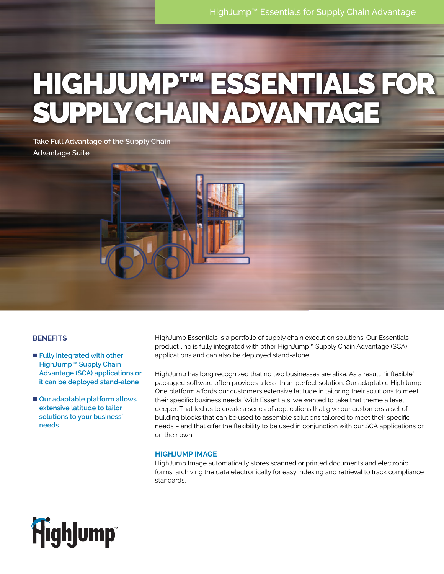# HIGHJUMP™ ESSENTIALS FOR SUPPLYCHAIN ADVANTAGE

## **BENEFITS**

- **Fully integrated with other HighJump™ Supply Chain Advantage (SCA) applications or it can be deployed stand-alone**
- Our adaptable platform allows **extensive latitude to tailor solutions to your business' needs**

HighJump Essentials is a portfolio of supply chain execution solutions. Our Essentials product line is fully integrated with other HighJump™ Supply Chain Advantage (SCA) applications and can also be deployed stand-alone.

HighJump has long recognized that no two businesses are alike. As a result, "inflexible" packaged software often provides a less-than-perfect solution. Our adaptable HighJump One platform affords our customers extensive latitude in tailoring their solutions to meet their specific business needs. With Essentials, we wanted to take that theme a level deeper. That led us to create a series of applications that give our customers a set of building blocks that can be used to assemble solutions tailored to meet their specific needs – and that offer the flexibility to be used in conjunction with our SCA applications or on their own.

## **HIGHJUMP IMAGE**

HighJump Image automatically stores scanned or printed documents and electronic forms, archiving the data electronically for easy indexing and retrieval to track compliance standards.